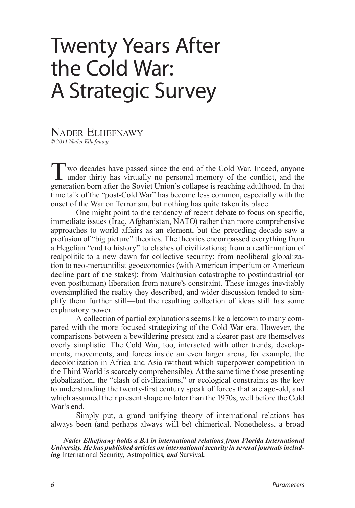# Twenty Years After the Cold War: A Strategic Survey

#### Nader Elhefnawy *© 2011 Nader Elhefnawy*

Two decades have passed since the end of the Cold War. Indeed, anyone under thirty has virtually no personal memory of the conflict, and the concretion here ofter the Soviet Union's college is received all the that generation born after the Soviet Union's collapse is reaching adulthood. In that time talk of the "post-Cold War" has become less common, especially with the onset of the War on Terrorism, but nothing has quite taken its place.

One might point to the tendency of recent debate to focus on specific, immediate issues (Iraq, Afghanistan, NATO) rather than more comprehensive approaches to world affairs as an element, but the preceding decade saw a profusion of "big picture" theories. The theories encompassed everything from a Hegelian "end to history" to clashes of civilizations; from a reaffirmation of realpolitik to a new dawn for collective security; from neoliberal globalization to neo-mercantilist geoeconomics (with American imperium or American decline part of the stakes); from Malthusian catastrophe to postindustrial (or even posthuman) liberation from nature's constraint. These images inevitably oversimplified the reality they described, and wider discussion tended to simplify them further still—but the resulting collection of ideas still has some explanatory power.

A collection of partial explanations seems like a letdown to many compared with the more focused strategizing of the Cold War era. However, the comparisons between a bewildering present and a clearer past are themselves overly simplistic. The Cold War, too, interacted with other trends, developments, movements, and forces inside an even larger arena, for example, the decolonization in Africa and Asia (without which superpower competition in the Third World is scarcely comprehensible). At the same time those presenting globalization, the "clash of civilizations," or ecological constraints as the key to understanding the twenty-first century speak of forces that are age-old, and which assumed their present shape no later than the 1970s, well before the Cold War's end.

Simply put, a grand unifying theory of international relations has always been (and perhaps always will be) chimerical. Nonetheless, a broad

*Nader Elhefnawy holds a BA in international relations from Florida International University. He has published articles on international security in several journals including* International Security*,* Astropolitics*, and* Survival*.*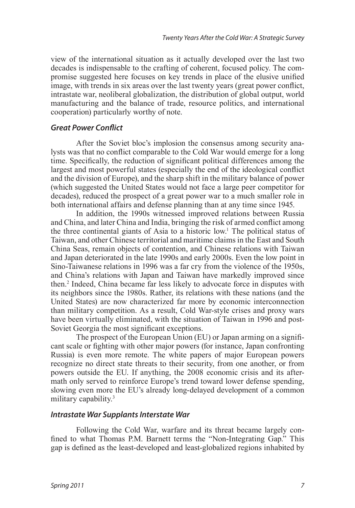view of the international situation as it actually developed over the last two decades is indispensable to the crafting of coherent, focused policy. The compromise suggested here focuses on key trends in place of the elusive unified image, with trends in six areas over the last twenty years (great power conflict, intrastate war, neoliberal globalization, the distribution of global output, world manufacturing and the balance of trade, resource politics, and international cooperation) particularly worthy of note.

### *Great Power Conflict*

After the Soviet bloc's implosion the consensus among security analysts was that no conflict comparable to the Cold War would emerge for a long time. Specifically, the reduction of significant political differences among the largest and most powerful states (especially the end of the ideological conflict and the division of Europe), and the sharp shift in the military balance of power (which suggested the United States would not face a large peer competitor for decades), reduced the prospect of a great power war to a much smaller role in both international affairs and defense planning than at any time since 1945.

<span id="page-1-0"></span>In addition, the 1990s witnessed improved relations between Russia and China, and later China and India, bringing the risk of armed conflict among the three continental giants of Asia to a historic low[.1](#page-8-0) The political status of Taiwan, and other Chinese territorial and maritime claims in the East and South China Seas, remain objects of contention, and Chinese relations with Taiwan and Japan deteriorated in the late 1990s and early 2000s. Even the low point in Sino-Taiwanese relations in 1996 was a far cry from the violence of the 1950s, and China's relations with Japan and Taiwan have markedly improved since then.[2](#page-8-1) Indeed, China became far less likely to advocate force in disputes with its neighbors since the 1980s. Rather, its relations with these nations (and the United States) are now characterized far more by economic interconnection than military competition. As a result, Cold War-style crises and proxy wars have been virtually eliminated, with the situation of Taiwan in 1996 and post-Soviet Georgia the most significant exceptions.

<span id="page-1-1"></span>The prospect of the European Union (EU) or Japan arming on a significant scale or fighting with other major powers (for instance, Japan confronting Russia) is even more remote. The white papers of major European powers recognize no direct state threats to their security, from one another, or from powers outside the EU. If anything, the 2008 economic crisis and its aftermath only served to reinforce Europe's trend toward lower defense spending, slowing even more the EU's already long-delayed development of a common military capability.<sup>[3](#page-9-0)</sup>

#### <span id="page-1-2"></span>*Intrastate War Supplants Interstate War*

Following the Cold War, warfare and its threat became largely confined to what Thomas P.M. Barnett terms the "Non-Integrating Gap." This gap is defined as the least-developed and least-globalized regions inhabited by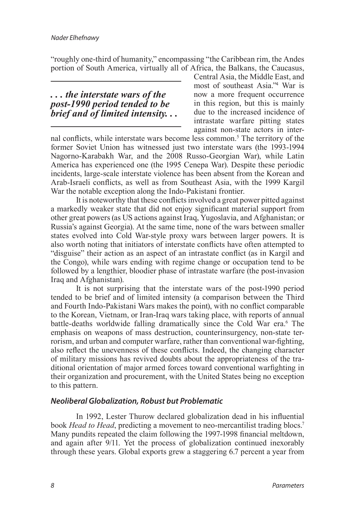"roughly one-third of humanity," encompassing "the Caribbean rim, the Andes portion of South America, virtually all of Africa, the Balkans, the Caucasus,

## *. . . the interstate wars of the post-1990 period tended to be brief and of limited intensity. . .*

<span id="page-2-0"></span>Central Asia, the Middle East, and most of southeast Asia.["4](#page-9-1) War is now a more frequent occurrence in this region, but this is mainly due to the increased incidence of intrastate warfare pitting states against non-state actors in inter-

<span id="page-2-1"></span>nal conflicts, while interstate wars become less common.[5](#page-9-2) The territory of the former Soviet Union has witnessed just two interstate wars (the 1993-1994 Nagorno-Karabakh War, and the 2008 Russo-Georgian War), while Latin America has experienced one (the 1995 Cenepa War). Despite these periodic incidents, large-scale interstate violence has been absent from the Korean and Arab-Israeli conflicts, as well as from Southeast Asia, with the 1999 Kargil War the notable exception along the Indo-Pakistani frontier.

It is noteworthy that these conflicts involved a great power pitted against a markedly weaker state that did not enjoy significant material support from other great powers (as US actions against Iraq, Yugoslavia, and Afghanistan; or Russia's against Georgia). At the same time, none of the wars between smaller states evolved into Cold War-style proxy wars between larger powers. It is also worth noting that initiators of interstate conflicts have often attempted to "disguise" their action as an aspect of an intrastate conflict (as in Kargil and the Congo), while wars ending with regime change or occupation tend to be followed by a lengthier, bloodier phase of intrastate warfare (the post-invasion Iraq and Afghanistan).

<span id="page-2-2"></span>It is not surprising that the interstate wars of the post-1990 period tended to be brief and of limited intensity (a comparison between the Third and Fourth Indo-Pakistani Wars makes the point), with no conflict comparable to the Korean, Vietnam, or Iran-Iraq wars taking place, with reports of annual battle-deaths worldwide falling dramatically since the Cold War era.<sup>6</sup> The emphasis on weapons of mass destruction, counterinsurgency, non-state terrorism, and urban and computer warfare, rather than conventional war-fighting, also reflect the unevenness of these conflicts. Indeed, the changing character of military missions has revived doubts about the appropriateness of the traditional orientation of major armed forces toward conventional warfighting in their organization and procurement, with the United States being no exception to this pattern.

## *Neoliberal Globalization, Robust but Problematic*

<span id="page-2-3"></span>In 1992, Lester Thurow declared globalization dead in his influential book *Head to Head*, predicting a movement to neo-mercantilist trading blocs.<sup>7</sup> Many pundits repeated the claim following the 1997-1998 financial meltdown, and again after 9/11. Yet the process of globalization continued inexorably through these years. Global exports grew a staggering 6.7 percent a year from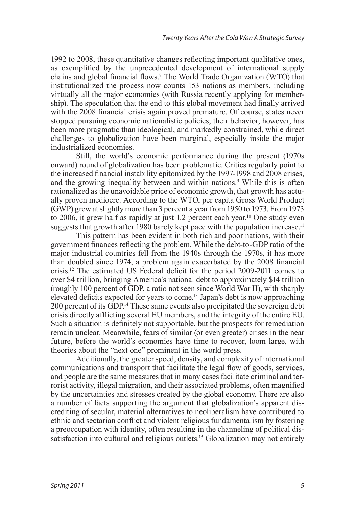<span id="page-3-0"></span>1992 to 2008, these quantitative changes reflecting important qualitative ones, as exemplified by the unprecedented development of international supply chains and global financial flows.[8](#page-9-5) The World Trade Organization (WTO) that institutionalized the process now counts 153 nations as members, including virtually all the major economies (with Russia recently applying for membership). The speculation that the end to this global movement had finally arrived with the 2008 financial crisis again proved premature. Of course, states never stopped pursuing economic nationalistic policies; their behavior, however, has been more pragmatic than ideological, and markedly constrained, while direct challenges to globalization have been marginal, especially inside the major industrialized economies.

<span id="page-3-1"></span>Still, the world's economic performance during the present (1970s onward) round of globalization has been problematic. Critics regularly point to the increased financial instability epitomized by the 1997-1998 and 2008 crises, and the growing inequality between and within nations.<sup>9</sup> While this is often rationalized as the unavoidable price of economic growth, that growth has actually proven mediocre. According to the WTO, per capita Gross World Product (GWP) grew at slightly more than 3 percent a year from 1950 to 1973. From 1973 to 2006, it grew half as rapidly at just 1.2 percent each year.<sup>10</sup> One study even suggests that growth after 1980 barely kept pace with the population increase.<sup>[11](#page-9-8)</sup>

<span id="page-3-5"></span><span id="page-3-4"></span><span id="page-3-3"></span><span id="page-3-2"></span>This pattern has been evident in both rich and poor nations, with their government finances reflecting the problem. While the debt-to-GDP ratio of the major industrial countries fell from the 1940s through the 1970s, it has more than doubled since 1974, a problem again exacerbated by the 2008 financial crisis[.12](#page-9-9) The estimated US Federal deficit for the period 2009-2011 comes to over \$4 trillion, bringing America's national debt to approximately \$14 trillion (roughly 100 percent of GDP, a ratio not seen since World War II), with sharply elevated deficits expected for years to come.[13](#page-9-10) Japan's debt is now approaching 200 percent of its GDP.[14](#page-9-11) These same events also precipitated the sovereign debt crisis directly afflicting several EU members, and the integrity of the entire EU. Such a situation is definitely not supportable, but the prospects for remediation remain unclear. Meanwhile, fears of similar (or even greater) crises in the near future, before the world's economies have time to recover, loom large, with theories about the "next one" prominent in the world press.

<span id="page-3-7"></span><span id="page-3-6"></span>Additionally, the greater speed, density, and complexity of international communications and transport that facilitate the legal flow of goods, services, and people are the same measures that in many cases facilitate criminal and terrorist activity, illegal migration, and their associated problems, often magnified by the uncertainties and stresses created by the global economy. There are also a number of facts supporting the argument that globalization's apparent discrediting of secular, material alternatives to neoliberalism have contributed to ethnic and sectarian conflict and violent religious fundamentalism by fostering a preoccupation with identity, often resulting in the channeling of political dissatisfaction into cultural and religious outlets.<sup>15</sup> Globalization may not entirely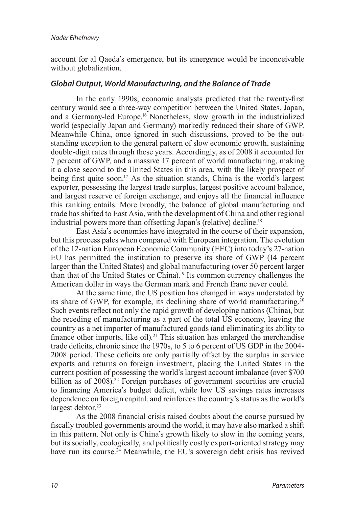account for al Qaeda's emergence, but its emergence would be inconceivable without globalization.

## *Global Output, World Manufacturing, and the Balance of Trade*

<span id="page-4-0"></span>In the early 1990s, economic analysts predicted that the twenty-first century would see a three-way competition between the United States, Japan, and a Germany-led Europe[.16](#page-10-0) Nonetheless, slow growth in the industrialized world (especially Japan and Germany) markedly reduced their share of GWP. Meanwhile China, once ignored in such discussions, proved to be the outstanding exception to the general pattern of slow economic growth, sustaining double-digit rates through these years. Accordingly, as of 2008 it accounted for 7 percent of GWP, and a massive 17 percent of world manufacturing, making it a close second to the United States in this area, with the likely prospect of being first quite soon.<sup>17</sup> As the situation stands, China is the world's largest exporter, possessing the largest trade surplus, largest positive account balance, and largest reserve of foreign exchange, and enjoys all the financial influence this ranking entails. More broadly, the balance of global manufacturing and trade has shifted to East Asia, with the development of China and other regional industrial powers more than offsetting Japan's (relative) decline.<sup>18</sup>

<span id="page-4-2"></span><span id="page-4-1"></span>East Asia's economies have integrated in the course of their expansion, but this process pales when compared with European integration. The evolution of the 12-nation European Economic Community (EEC) into today's 27-nation EU has permitted the institution to preserve its share of GWP (14 percent larger than the United States) and global manufacturing (over 50 percent larger than that of the United States or China)[.19](#page-10-3) Its common currency challenges the American dollar in ways the German mark and French franc never could.

<span id="page-4-5"></span><span id="page-4-4"></span><span id="page-4-3"></span>At the same time, the US position has changed in ways understated by its share of GWP, for example, its declining share of world manufacturing.<sup>[20](#page-10-4)</sup> Such events reflect not only the rapid growth of developing nations (China), but the receding of manufacturing as a part of the total US economy, leaving the country as a net importer of manufactured goods (and eliminating its ability to finance other imports, like oil).<sup>21</sup> This situation has enlarged the merchandise trade deficits, chronic since the 1970s, to 5 to 6 percent of US GDP in the 2004- 2008 period. These deficits are only partially offset by the surplus in service exports and returns on foreign investment, placing the United States in the current position of possessing the world's largest account imbalance (over \$700 billion as of  $2008$ <sup>22</sup> Foreign purchases of government securities are crucial to financing America's budget deficit, while low US savings rates increases dependence on foreign capital. and reinforces the country's status as the world's largest debtor.<sup>23</sup>

<span id="page-4-8"></span><span id="page-4-7"></span><span id="page-4-6"></span>As the 2008 financial crisis raised doubts about the course pursued by fiscally troubled governments around the world, it may have also marked a shift in this pattern. Not only is China's growth likely to slow in the coming years, but its socially, ecologically, and politically costly export-oriented strategy may have run its course.<sup>24</sup> Meanwhile, the EU's sovereign debt crisis has revived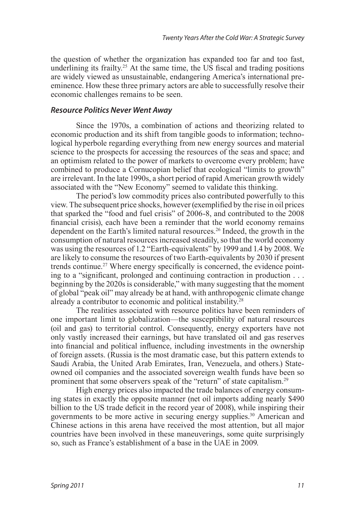<span id="page-5-0"></span>the question of whether the organization has expanded too far and too fast, underlining its frailty.<sup>25</sup> At the same time, the US fiscal and trading positions are widely viewed as unsustainable, endangering America's international preeminence. How these three primary actors are able to successfully resolve their economic challenges remains to be seen.

#### *Resource Politics Never Went Away*

Since the 1970s, a combination of actions and theorizing related to economic production and its shift from tangible goods to information; technological hyperbole regarding everything from new energy sources and material science to the prospects for accessing the resources of the seas and space; and an optimism related to the power of markets to overcome every problem; have combined to produce a Cornucopian belief that ecological "limits to growth" are irrelevant. In the late 1990s, a short period of rapid American growth widely associated with the "New Economy" seemed to validate this thinking.

<span id="page-5-1"></span>The period's low commodity prices also contributed powerfully to this view. The subsequent price shocks, however (exemplified by the rise in oil prices that sparked the "food and fuel crisis" of 2006-8, and contributed to the 2008 financial crisis), each have been a reminder that the world economy remains dependent on the Earth's limited natural resources[.26](#page-10-10) Indeed, the growth in the consumption of natural resources increased steadily, so that the world economy was using the resources of 1.2 "Earth-equivalents" by 1999 and 1.4 by 2008. We are likely to consume the resources of two Earth-equivalents by 2030 if present trends continue.<sup>[27](#page-11-0)</sup> Where energy specifically is concerned, the evidence pointing to a "significant, prolonged and continuing contraction in production . . . beginning by the 2020s is considerable," with many suggesting that the moment of global "peak oil" may already be at hand, with anthropogenic climate change already a contributor to economic and political instability.<sup>[28](#page-11-1)</sup>

<span id="page-5-3"></span><span id="page-5-2"></span>The realities associated with resource politics have been reminders of one important limit to globalization—the susceptibility of natural resources (oil and gas) to territorial control. Consequently, energy exporters have not only vastly increased their earnings, but have translated oil and gas reserves into financial and political influence, including investments in the ownership of foreign assets. (Russia is the most dramatic case, but this pattern extends to Saudi Arabia, the United Arab Emirates, Iran, Venezuela, and others.) Stateowned oil companies and the associated sovereign wealth funds have been so prominent that some observers speak of the "return" of state capitalism.<sup>[29](#page-11-2)</sup>

<span id="page-5-5"></span><span id="page-5-4"></span>High energy prices also impacted the trade balances of energy consuming states in exactly the opposite manner (net oil imports adding nearly \$490 billion to the US trade deficit in the record year of 2008), while inspiring their governments to be more active in securing energy supplies.<sup>[30](#page-11-3)</sup> American and Chinese actions in this arena have received the most attention, but all major countries have been involved in these maneuverings, some quite surprisingly so, such as France's establishment of a base in the UAE in 2009.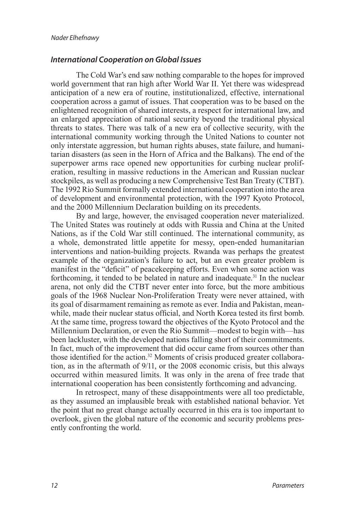### *International Cooperation on Global Issues*

The Cold War's end saw nothing comparable to the hopes for improved world government that ran high after World War II. Yet there was widespread anticipation of a new era of routine, institutionalized, effective, international cooperation across a gamut of issues. That cooperation was to be based on the enlightened recognition of shared interests, a respect for international law, and an enlarged appreciation of national security beyond the traditional physical threats to states. There was talk of a new era of collective security, with the international community working through the United Nations to counter not only interstate aggression, but human rights abuses, state failure, and humanitarian disasters (as seen in the Horn of Africa and the Balkans). The end of the superpower arms race opened new opportunities for curbing nuclear proliferation, resulting in massive reductions in the American and Russian nuclear stockpiles, as well as producing a new Comprehensive Test Ban Treaty (CTBT). The 1992 Rio Summit formally extended international cooperation into the area of development and environmental protection, with the 1997 Kyoto Protocol, and the 2000 Millennium Declaration building on its precedents.

<span id="page-6-0"></span>By and large, however, the envisaged cooperation never materialized. The United States was routinely at odds with Russia and China at the United Nations, as if the Cold War still continued. The international community, as a whole, demonstrated little appetite for messy, open-ended humanitarian interventions and nation-building projects. Rwanda was perhaps the greatest example of the organization's failure to act, but an even greater problem is manifest in the "deficit" of peacekeeping efforts. Even when some action was forthcoming, it tended to be belated in nature and inadequate.<sup>[31](#page-11-4)</sup> In the nuclear arena, not only did the CTBT never enter into force, but the more ambitious goals of the 1968 Nuclear Non-Proliferation Treaty were never attained, with its goal of disarmament remaining as remote as ever. India and Pakistan, meanwhile, made their nuclear status official, and North Korea tested its first bomb. At the same time, progress toward the objectives of the Kyoto Protocol and the Millennium Declaration, or even the Rio Summit—modest to begin with—has been lackluster, with the developed nations falling short of their commitments. In fact, much of the improvement that did occur came from sources other than those identified for the action.<sup>[32](#page-11-5)</sup> Moments of crisis produced greater collaboration, as in the aftermath of 9/11, or the 2008 economic crisis, but this always occurred within measured limits. It was only in the arena of free trade that international cooperation has been consistently forthcoming and advancing.

<span id="page-6-1"></span>In retrospect, many of these disappointments were all too predictable, as they assumed an implausible break with established national behavior. Yet the point that no great change actually occurred in this era is too important to overlook, given the global nature of the economic and security problems presently confronting the world.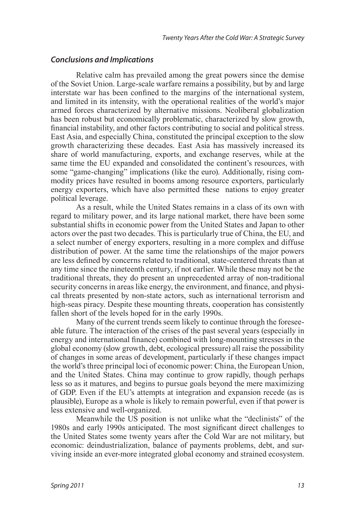#### *Conclusions and Implications*

Relative calm has prevailed among the great powers since the demise of the Soviet Union. Large-scale warfare remains a possibility, but by and large interstate war has been confined to the margins of the international system, and limited in its intensity, with the operational realities of the world's major armed forces characterized by alternative missions. Neoliberal globalization has been robust but economically problematic, characterized by slow growth, financial instability, and other factors contributing to social and political stress. East Asia, and especially China, constituted the principal exception to the slow growth characterizing these decades. East Asia has massively increased its share of world manufacturing, exports, and exchange reserves, while at the same time the EU expanded and consolidated the continent's resources, with some "game-changing" implications (like the euro). Additionally, rising commodity prices have resulted in booms among resource exporters, particularly energy exporters, which have also permitted these nations to enjoy greater political leverage.

As a result, while the United States remains in a class of its own with regard to military power, and its large national market, there have been some substantial shifts in economic power from the United States and Japan to other actors over the past two decades. This is particularly true of China, the EU, and a select number of energy exporters, resulting in a more complex and diffuse distribution of power. At the same time the relationships of the major powers are less defined by concerns related to traditional, state-centered threats than at any time since the nineteenth century, if not earlier. While these may not be the traditional threats, they do present an unprecedented array of non-traditional security concerns in areas like energy, the environment, and finance, and physical threats presented by non-state actors, such as international terrorism and high-seas piracy. Despite these mounting threats, cooperation has consistently fallen short of the levels hoped for in the early 1990s.

Many of the current trends seem likely to continue through the foreseeable future. The interaction of the crises of the past several years (especially in energy and international finance) combined with long-mounting stresses in the global economy (slow growth, debt, ecological pressure) all raise the possibility of changes in some areas of development, particularly if these changes impact the world's three principal loci of economic power: China, the European Union, and the United States. China may continue to grow rapidly, though perhaps less so as it matures, and begins to pursue goals beyond the mere maximizing of GDP. Even if the EU's attempts at integration and expansion recede (as is plausible), Europe as a whole is likely to remain powerful, even if that power is less extensive and well-organized.

Meanwhile the US position is not unlike what the "declinists" of the 1980s and early 1990s anticipated. The most significant direct challenges to the United States some twenty years after the Cold War are not military, but economic: deindustrialization, balance of payments problems, debt, and surviving inside an ever-more integrated global economy and strained ecosystem.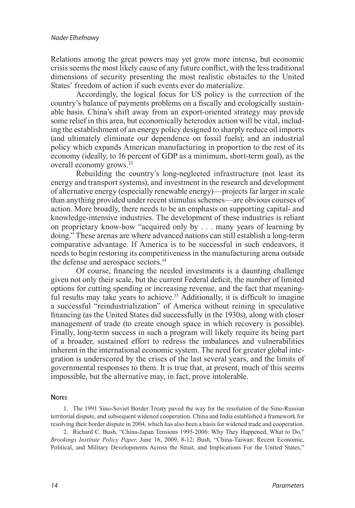Relations among the great powers may yet grow more intense, but economic crisis seems the most likely cause of any future conflict, with the less traditional dimensions of security presenting the most realistic obstacles to the United States' freedom of action if such events ever do materialize.

Accordingly, the logical focus for US policy is the correction of the country's balance of payments problems on a fiscally and ecologically sustainable basis. China's shift away from an export-oriented strategy may provide some relief in this area, but economically heterodox action will be vital, including the establishment of an energy policy designed to sharply reduce oil imports (and ultimately eliminate our dependence on fossil fuels); and an industrial policy which expands American manufacturing in proportion to the rest of its economy (ideally, to 16 percent of GDP as a minimum, short-term goal), as the overall economy grows[.33](#page-11-6)

<span id="page-8-2"></span>Rebuilding the country's long-neglected infrastructure (not least its energy and transport systems), and investment in the research and development of alternative energy (especially renewable energy)—projects far larger in scale than anything provided under recent stimulus schemes—are obvious courses of action. More broadly, there needs to be an emphasis on supporting capital- and knowledge-intensive industries. The development of these industries is reliant on proprietary know-how "acquired only by . . . many years of learning by doing." These arenas are where advanced nations can still establish a long-term comparative advantage. If America is to be successful in such endeavors, it needs to begin restoring its competitiveness in the manufacturing arena outside the defense and aerospace sectors.<sup>34</sup>

<span id="page-8-4"></span><span id="page-8-3"></span>Of course, financing the needed investments is a daunting challenge given not only their scale, but the current Federal deficit, the number of limited options for cutting spending or increasing revenue, and the fact that meaning-ful results may take years to achieve.<sup>[35](#page-11-8)</sup> Additionally, it is difficult to imagine a successful "reindustrialization" of America without reining in speculative financing (as the United States did successfully in the 1930s), along with closer management of trade (to create enough space in which recovery is possible). Finally, long-term success in such a program will likely require its being part of a broader, sustained effort to redress the imbalances and vulnerabilities inherent in the international economic system. The need for greater global integration is underscored by the crises of the last several years, and the limits of governmental responses to them. It is true that, at present, much of this seems impossible, but the alternative may, in fact, prove intolerable.

#### **Notes**

<span id="page-8-0"></span>1. [The 1991 Sino-Soviet Border Treaty paved the way for the resolution of the Sino-Russian](#page-1-0)  [territorial dispute, and subsequent widened cooperation. China and India established a framework for](#page-1-0)  [resolving their border dispute in 2004, which has also been a basis for widened trade and cooperation.](#page-1-0)

<span id="page-8-1"></span>2. [Richard C. Bush, "China-Japan Tensions 1995-2006: Why They Happened, What to Do,"](#page-1-1)  *Brookings Institute Policy Paper,* [June 16, 2009, 8-12; Bush, "China-Taiwan: Recent Economic,](#page-1-1) [Political, and Military Developments Across the Strait, and Implications For the United States,"](#page-1-1)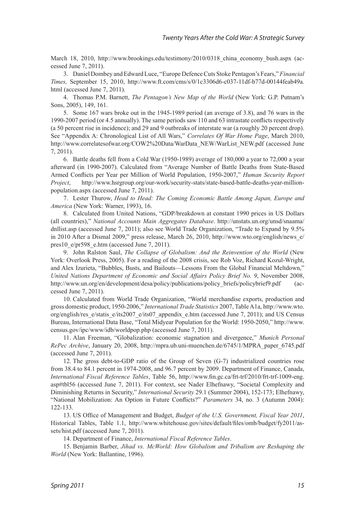March 18, 2010, http://www.brookings.edu/testimony/2010/0318 china economy bush.aspx (ac[cessed June 7, 2011\).](#page-1-1)

<span id="page-9-0"></span>3. [Daniel Dombey and Edward Luce, "Europe Defence Cuts Stoke Pentagon's Fears,"](#page-1-2) *Financial Times,* [September 15, 2010, http://www.ft.com/cms/s/0/1c3306d6-c037-11df-b77d-00144feab49a.](#page-1-2) [html \(accessed June 7, 2011\).](#page-1-2)

<span id="page-9-1"></span>4. Thomas P.M. Barnett, *[The Pentagon's New Map of the World](#page-2-0)* (New York: G.P. Putnam's [Sons, 2005\), 149, 161.](#page-2-0)

<span id="page-9-2"></span>5. [Some 167 wars broke out in the 1945-1989 period \(an average of 3.8\), and 76 wars in the](#page-2-1)  [1990-2007 period \(or 4.5 annually\). The same periods saw 110 and 63 intrastate conflicts respectively](#page-2-1) [\(a 50 percent rise in incidence\); and 29 and 9 outbreaks of interstate war \(a roughly 20 percent drop\).](#page-2-1) [See "Appendix A: Chronological List of All Wars,"](#page-2-1) *Correlates Of War Home Page*, March 2010, [http://www.correlatesofwar.org/COW2%20Data/WarData\\_NEW/WarList\\_NEW.pdf \(accessed June](#page-2-1) [7, 2011\).](#page-2-1)

<span id="page-9-3"></span>6. [Battle deaths fell from a Cold War \(1950-1989\) average of 180,000 a year to 72,000 a year](#page-2-2) [afterward \(in 1990-2007\). Calculated from "Average Number of Battle Deaths from State-Based](#page-2-2) [Armed Conflicts per Year per Million of World Population, 1950-2007,"](#page-2-2) *Human Security Report Project*[, http://www.hsrgroup.org/our-work/security-stats/state-based-battle-deaths-year-million](#page-2-2)[population.aspx \(accessed June 7, 2011\).](#page-2-2)

<span id="page-9-4"></span>7. Lester Thurow, *[Head to Head: The Coming Economic Battle Among Japan, Europe and](#page-2-3) America* [\(New York: Warner, 1993\), 16.](#page-2-3)

<span id="page-9-5"></span>8. [Calculated from United Nations, "GDP/breakdown at constant 1990 prices in US Dollars](#page-3-0)  (all countries)," *[National Accounts Main Aggregates Database](#page-3-0)*. http://unstats.un.org/unsd/snaama/ [dnllist.asp \(accessed June 7, 2011\); also see World Trade Organization, "Trade to Expand by 9.5%](#page-3-0) [in 2010 After a Dismal 2009," press release, March 26, 2010, http://www.wto.org/english/news\\_e/](#page-3-0) pres10 e/pr598 e.htm (accessed June 7, 2011).

<span id="page-9-6"></span>9. John Ralston Saul, *[The Collapse of Globalism: And the Reinvention of the World](#page-3-1)* (New [York: Overlook Press, 2005\). For a reading of the 2008 crisis, see Rob Voz, Richard Kozul-Wright,](#page-3-1)  [and Alex Izurieta, "Bubbles, Busts, and Bailouts—Lessons From the Global Financial Meltdown,"](#page-3-1)  *[United Nations Department of Economic and Social Affairs Policy Brief No. 9](#page-3-1)*, November 2008, http://www.un.org/en/development/desa/policy/publications/policy briefs/policybrief9.pdf (ac[cessed June 7, 2011\).](#page-3-1)

<span id="page-9-7"></span>10. [Calculated from World Trade Organization, "World merchandise exports, production and](#page-3-2) [gross domestic product, 1950-2006,"](#page-3-2) *International Trade Statistics* 2007, Table A1a, http://www.wto. org/english/res\_e/statis\_e/its2007\_e/its07\_appendix\_e.htm (accessed June 7, 2011); and US Census [Bureau, International Data Base, "Total Midyear Population for the World: 1950-2050," http://www.](#page-3-2) [census.gov/ipc/www/idb/worldpop.php \(accessed June 7, 2011\).](#page-3-2)

<span id="page-9-8"></span>11. [Alan Freeman, "Globalization: economic stagnation and divergence,"](#page-3-3) *Munich Personal RePec Archive*[, January 20, 2008, http://mpra.ub.uni-muenchen.de/6745/1/MPRA\\_paper\\_6745.pdf](#page-3-3) [\(accessed June 7, 2011\).](#page-3-3)

<span id="page-9-9"></span>12. [The gross debt-to-GDP ratio of the Group of Seven \(G-7\) industrialized countries rose](#page-3-4)  [from 38.4 to 84.1 percent in 1974-2008, and 96.7 percent by 2009. Department of Finance, Canada,](#page-3-4)  *International Fiscal Reference Tables*[, Table 56, http://www.fin.gc.ca/frt-trf/2010/frt-trf-1009-eng.](#page-3-4) [asp#tbl56 \(accessed June 7, 2011\). For context, see Nader Elhefnawy, "Societal Complexity and](#page-3-4)  Diminishing Returns in Security," *International Security* [29.1 \(Summer 2004\), 152-173; Elhefnawy,](#page-3-4)  ["National Mobilization: An Option in Future Conflicts?"](#page-3-4) *Parameters* 34, no. 3 (Autumn 2004): [122-133.](#page-3-4)

13. US Office of Management and Budget, *[Budget of the U.S. Government, Fiscal Year 2011](#page-3-5)*, [Historical Tables, Table 1.1, http://www.whitehouse.gov/sites/default/files/omb/budget/fy2011/as](#page-3-5)[sets/hist.pdf \(accessed June 7, 2011\).](#page-3-5)

<span id="page-9-12"></span><span id="page-9-11"></span><span id="page-9-10"></span>14. Department of Finance, *[International Fiscal Reference Tables](#page-3-6)*.

15. Benjamin Barber, *[Jihad vs. McWorld: How Globalism and Tribalism are Reshaping the](#page-3-7)  World* [\(New York: Ballantine, 1996\).](#page-3-7)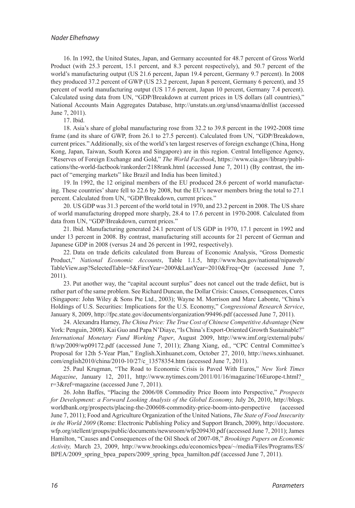#### *Nader Elhefnawy*

<span id="page-10-0"></span>16. [In 1992, the United States, Japan, and Germany accounted for 48.7 percent of Gross World](#page-4-0) [Product \(with 25.3 percent, 15.1 percent, and 8.3 percent respectively\), and 50.7 percent of the](#page-4-0) [world's manufacturing output \(US 21.6 percent, Japan 19.4 percent, Germany 9.7 percent\). In 2008](#page-4-0)  [they produced 37.2 percent of GWP \(US 23.2 percent, Japan 8 percent, Germany 6 percent\), and 35](#page-4-0)  [percent of world manufacturing output \(US 17.6 percent, Japan 10 percent, Germany 7.4 percent\).](#page-4-0) [Calculated using data from UN, "GDP/Breakdown at current prices in US dollars \(all countries\),"](#page-4-0) [National Accounts Main Aggregates Database, http://unstats.un.org/unsd/snaama/dnllist \(accessed](#page-4-0) [June 7, 2011\).](#page-4-0)

<span id="page-10-2"></span><span id="page-10-1"></span>17. [Ibid.](#page-4-1)

18. [Asia's share of global manufacturing rose from 32.2 to 39.8 percent in the 1992-2008 time](#page-4-2)  [frame \(and its share of GWP, from 26.1 to 27.5 percent\). Calculated from UN, "GDP/Breakdown,](#page-4-2)  [current prices." Additionally, six of the world's ten largest reserves of foreign exchange \(China, Hong](#page-4-2)  [Kong, Japan, Taiwan, South Korea and Singapore\) are in this region. Central Intelligence Agency,](#page-4-2) "Reserves of Foreign Exchange and Gold," *The World Factbook*, https://www.cia.gov/library/publications/the-world-factbook/rankorder/2188rank.html (accessed June 7, 2011) (By contrast, the impact of "emerging markets" like Brazil and India has been limited.)

<span id="page-10-3"></span>19. [In 1992, the 12 original members of the EU produced 28.6 percent of world manufactur](#page-4-3)[ing. These countries' share fell to 22.6 by 2008, but the EU's newer members bring the total to 27.1](#page-4-3) [percent. Calculated from UN, "GDP/Breakdown, current prices."](#page-4-3)

<span id="page-10-4"></span>20. [US GDP was 31.3 percent of the world total in 1970, and 23.2 percent in 2008. The US share](#page-4-4)  [of world manufacturing dropped more sharply, 28.4 to 17.6 percent in 1970-2008. Calculated from](#page-4-4) [data from UN, "GDP/Breakdown, current prices."](#page-4-4) 

<span id="page-10-5"></span>21. [Ibid. Manufacturing generated 24.1 percent of US GDP in 1970, 17.1 percent in 1992 and](#page-4-5)  [under 13 percent in 2008. By contrast, manufacturing still accounts for 21 percent of German and](#page-4-5) [Japanese GDP in 2008 \(versus 24 and 26 percent in 1992, respectively\).](#page-4-5) 

<span id="page-10-6"></span>22. [Data on trade deficits calculated from Bureau of Economic Analysis, "Gross Domestic](#page-4-6) Product," *National Economic Accounts*[, Table 1.1.5, http://www.bea.gov/national/nipaweb/](#page-4-6) [TableView.asp?SelectedTable=5&FirstYear=2009&LastYear=2010&Freq=Qtr \(accessed June 7,](#page-4-6) [2011\).](#page-4-6)

<span id="page-10-7"></span>23. [Put another way, the "capital account surplus" does not cancel out the trade defiict, but is](#page-4-7)  [rather part of the same problem. See Richard Duncan, the Dollar Crisis: Causes, Consequences, Cures](#page-4-7) [\(Singapore: John Wiley & Sons Pte Ltd., 2003\); Wayne M. Morrison and Marc Labonte, "China's](#page-4-7) [Holdings of U.S. Securities: Implications for the U.S. Economy,"](#page-4-7) *Congressional Research Service*, [January 8, 2009, http://fpc.state.gov/documents/organization/99496.pdf \(accessed June 7, 2011\).](#page-4-7)

<span id="page-10-8"></span>24. Alexandra Harney, *[The China Price: The True Cost of Chinese Competitive Advantage](#page-4-8)* (New [York: Penguin, 2008\). Kai Guo and Papa N'Diaye, "Is China's Export-Oriented Growth Sustainable?"](#page-4-8)  *International Monetary Fund Working Paper*[, August 2009, http://www.imf.org/external/pubs/](#page-4-8) [ft/wp/2009/wp09172.pdf \(accessed June 7, 2011\); Zhang Xiang, ed., "CPC Central Committee's](#page-4-8) [Proposal for 12th 5-Year Plan," English.Xinhuanet.com, October 27, 2010, http://news.xinhuanet.](#page-4-8) [com/english2010/china/2010-10/27/c\\_13578354.htm \(accessed June 7, 2011\).](#page-4-8)

<span id="page-10-9"></span>25. [Paul Krugman, "The Road to Economic Crisis is Paved With Euros,"](#page-5-0) *New York Times Magazine*[, January 12, 2011, http://www.nytimes.com/2011/01/16/magazine/16Europe-t.html?\\_](#page-5-0) [r=3&ref=magazine \(accessed June 7, 2011\).](#page-5-0)

<span id="page-10-10"></span>26. [John Baffes, "Placing the 2006/08 Commodity Price Boom into Perspective,"](#page-5-1) *Prospects [for Development: a Forward Looking Analysis of the Global Economy,](#page-5-1)* July 26, 2010, http://blogs. [worldbank.org/prospects/placing-the-200608-commodity-price-boom-into-perspective \(accessed](#page-5-1) [June 7, 2011\); Food and Agriculture Organization of the United Nations,](#page-5-1) *The State of Food Insecurity in the World 2009* [\(Rome: Electronic Publishing Policy and Support Branch, 2009\), http://docustore.](#page-5-1) [wfp.org/stellent/groups/public/documents/newsroom/wfp209430.pdf \(accessed June 7, 2011\); James](#page-5-1) [Hamilton, "Causes and Consequences of the Oil Shock of 2007-08,"](#page-5-1) *Brookings Papers on Economic Activity,* [March 23, 2009, http://www.brookings.edu/economics/bpea/~/media/Files/Programs/ES/](#page-5-1) BPEA/2009 spring bpea papers/2009 spring bpea hamilton.pdf (accessed June 7, 2011).